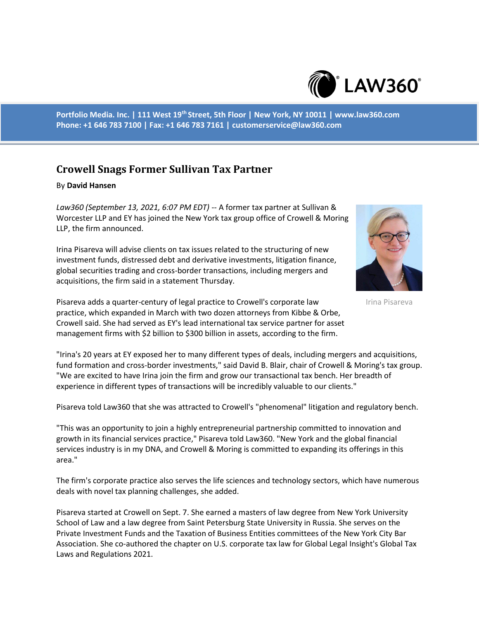

**Portfolio Media. Inc. | 111 West 19th Street, 5th Floor | New York, NY 10011 | www.law360.com Phone: +1 646 783 7100 | Fax: +1 646 783 7161 | customerservice@law360.com**

## **Crowell Snags Former Sullivan Tax Partner**

## By **David Hansen**

*Law360 (September 13, 2021, 6:07 PM EDT)* -- A former tax partner at Sullivan & Worcester LLP and EY has joined the New York tax group office of Crowell & Moring LLP, the firm announced.

Irina Pisareva will advise clients on tax issues related to the structuring of new investment funds, distressed debt and derivative investments, litigation finance, global securities trading and cross-border transactions, including mergers and acquisitions, the firm said in a statement Thursday.



Irina Pisareva

Pisareva adds a quarter-century of legal practice to Crowell's corporate law practice, which expanded in March with two dozen attorneys from Kibbe & Orbe, Crowell said. She had served as EY's lead international tax service partner for asset management firms with \$2 billion to \$300 billion in assets, according to the firm.

"Irina's 20 years at EY exposed her to many different types of deals, including mergers and acquisitions, fund formation and cross-border investments," said David B. Blair, chair of Crowell & Moring's tax group. "We are excited to have Irina join the firm and grow our transactional tax bench. Her breadth of experience in different types of transactions will be incredibly valuable to our clients."

Pisareva told Law360 that she was attracted to Crowell's "phenomenal" litigation and regulatory bench.

"This was an opportunity to join a highly entrepreneurial partnership committed to innovation and growth in its financial services practice," Pisareva told Law360. "New York and the global financial services industry is in my DNA, and Crowell & Moring is committed to expanding its offerings in this area."

The firm's corporate practice also serves the life sciences and technology sectors, which have numerous deals with novel tax planning challenges, she added.

Pisareva started at Crowell on Sept. 7. She earned a masters of law degree from New York University School of Law and a law degree from Saint Petersburg State University in Russia. She serves on the Private Investment Funds and the Taxation of Business Entities committees of the New York City Bar Association. She co-authored the chapter on U.S. corporate tax law for Global Legal Insight's Global Tax Laws and Regulations 2021.